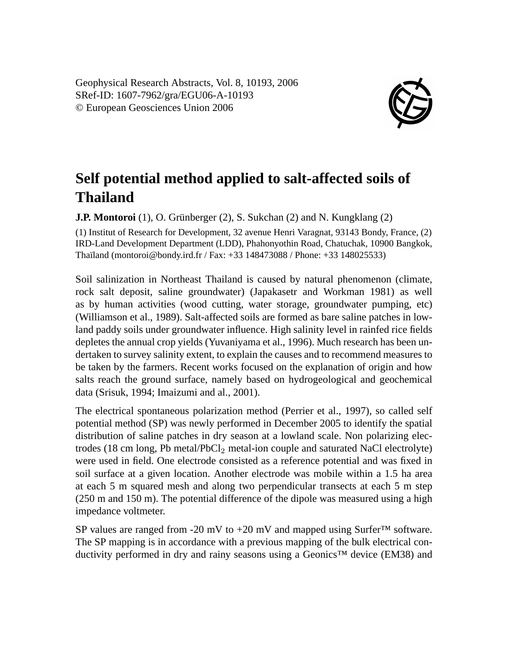Geophysical Research Abstracts, Vol. 8, 10193, 2006 SRef-ID: 1607-7962/gra/EGU06-A-10193 © European Geosciences Union 2006



## **Self potential method applied to salt-affected soils of Thailand**

**J.P. Montoroi** (1), O. Grünberger (2), S. Sukchan (2) and N. Kungklang (2)

(1) Institut of Research for Development, 32 avenue Henri Varagnat, 93143 Bondy, France, (2) IRD-Land Development Department (LDD), Phahonyothin Road, Chatuchak, 10900 Bangkok, Thaïland (montoroi@bondy.ird.fr / Fax: +33 148473088 / Phone: +33 148025533)

Soil salinization in Northeast Thailand is caused by natural phenomenon (climate, rock salt deposit, saline groundwater) (Japakasetr and Workman 1981) as well as by human activities (wood cutting, water storage, groundwater pumping, etc) (Williamson et al., 1989). Salt-affected soils are formed as bare saline patches in lowland paddy soils under groundwater influence. High salinity level in rainfed rice fields depletes the annual crop yields (Yuvaniyama et al., 1996). Much research has been undertaken to survey salinity extent, to explain the causes and to recommend measures to be taken by the farmers. Recent works focused on the explanation of origin and how salts reach the ground surface, namely based on hydrogeological and geochemical data (Srisuk, 1994; Imaizumi and al., 2001).

The electrical spontaneous polarization method (Perrier et al., 1997), so called self potential method (SP) was newly performed in December 2005 to identify the spatial distribution of saline patches in dry season at a lowland scale. Non polarizing electrodes (18 cm long, Pb metal/PbCl<sup>2</sup> metal-ion couple and saturated NaCl electrolyte) were used in field. One electrode consisted as a reference potential and was fixed in soil surface at a given location. Another electrode was mobile within a 1.5 ha area at each 5 m squared mesh and along two perpendicular transects at each 5 m step (250 m and 150 m). The potential difference of the dipole was measured using a high impedance voltmeter.

SP values are ranged from -20 mV to +20 mV and mapped using Surfer<sup>™</sup> software. The SP mapping is in accordance with a previous mapping of the bulk electrical conductivity performed in dry and rainy seasons using a Geonics™ device (EM38) and